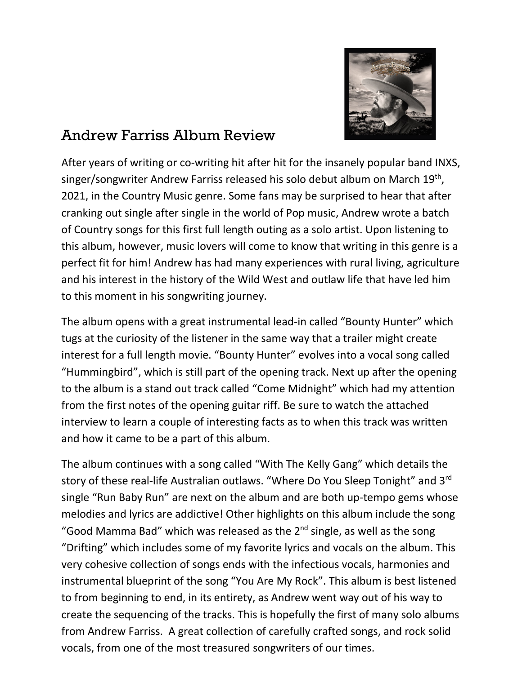

## Andrew Farriss Album Review

After years of writing or co-writing hit after hit for the insanely popular band INXS, singer/songwriter Andrew Farriss released his solo debut album on March 19<sup>th</sup>, 2021, in the Country Music genre. Some fans may be surprised to hear that after cranking out single after single in the world of Pop music, Andrew wrote a batch of Country songs for this first full length outing as a solo artist. Upon listening to this album, however, music lovers will come to know that writing in this genre is a perfect fit for him! Andrew has had many experiences with rural living, agriculture and his interest in the history of the Wild West and outlaw life that have led him to this moment in his songwriting journey.

The album opens with a great instrumental lead-in called "Bounty Hunter" which tugs at the curiosity of the listener in the same way that a trailer might create interest for a full length movie. "Bounty Hunter" evolves into a vocal song called "Hummingbird", which is still part of the opening track. Next up after the opening to the album is a stand out track called "Come Midnight" which had my attention from the first notes of the opening guitar riff. Be sure to watch the attached interview to learn a couple of interesting facts as to when this track was written and how it came to be a part of this album.

The album continues with a song called "With The Kelly Gang" which details the story of these real-life Australian outlaws. "Where Do You Sleep Tonight" and 3rd single "Run Baby Run" are next on the album and are both up-tempo gems whose melodies and lyrics are addictive! Other highlights on this album include the song "Good Mamma Bad" which was released as the  $2^{nd}$  single, as well as the song "Drifting" which includes some of my favorite lyrics and vocals on the album. This very cohesive collection of songs ends with the infectious vocals, harmonies and instrumental blueprint of the song "You Are My Rock". This album is best listened to from beginning to end, in its entirety, as Andrew went way out of his way to create the sequencing of the tracks. This is hopefully the first of many solo albums from Andrew Farriss. A great collection of carefully crafted songs, and rock solid vocals, from one of the most treasured songwriters of our times.